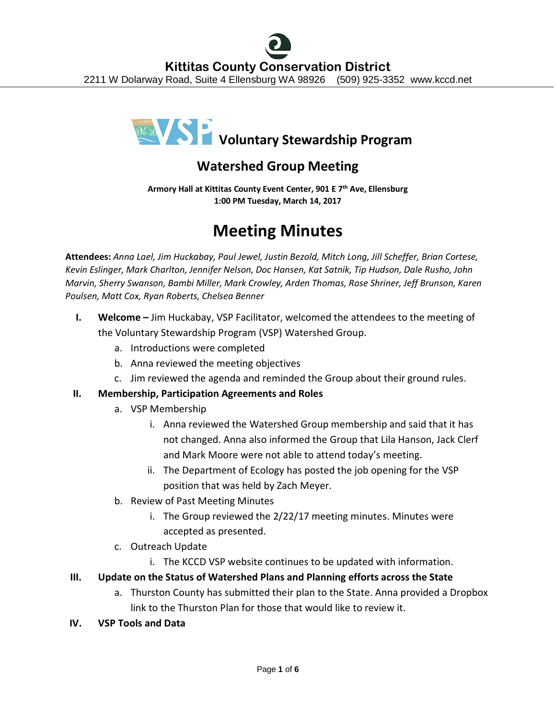

# **Watershed Group Meeting**

**Armory Hall at Kittitas County Event Center, 901 E 7th Ave, Ellensburg 1:00 PM Tuesday, March 14, 2017**

# **Meeting Minutes**

**Attendees:** *Anna Lael, Jim Huckabay, Paul Jewel, Justin Bezold, Mitch Long, Jill Scheffer, Brian Cortese, Kevin Eslinger, Mark Charlton, Jennifer Nelson, Doc Hansen, Kat Satnik, Tip Hudson, Dale Rusho, John Marvin, Sherry Swanson, Bambi Miller, Mark Crowley, Arden Thomas, Rose Shriner, Jeff Brunson, Karen Poulsen, Matt Cox, Ryan Roberts, Chelsea Benner*

- **I. Welcome –** Jim Huckabay, VSP Facilitator, welcomed the attendees to the meeting of the Voluntary Stewardship Program (VSP) Watershed Group.
	- a. Introductions were completed
	- b. Anna reviewed the meeting objectives
	- c. Jim reviewed the agenda and reminded the Group about their ground rules.

## **II. Membership, Participation Agreements and Roles**

- a. VSP Membership
	- i. Anna reviewed the Watershed Group membership and said that it has not changed. Anna also informed the Group that Lila Hanson, Jack Clerf and Mark Moore were not able to attend today's meeting.
	- ii. The Department of Ecology has posted the job opening for the VSP position that was held by Zach Meyer.
- b. Review of Past Meeting Minutes
	- i. The Group reviewed the 2/22/17 meeting minutes. Minutes were accepted as presented.
- c. Outreach Update
	- i. The KCCD VSP website continues to be updated with information.

## **III. Update on the Status of Watershed Plans and Planning efforts across the State**

- a. Thurston County has submitted their plan to the State. Anna provided a Dropbox link to the Thurston Plan for those that would like to review it.
- **IV. VSP Tools and Data**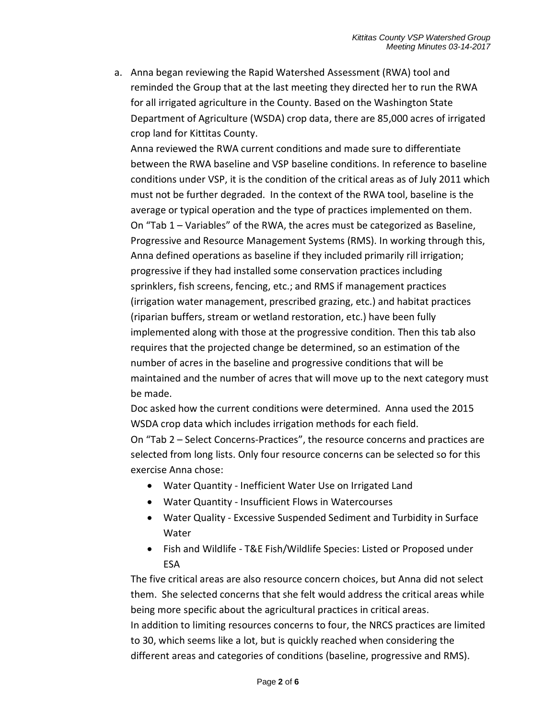a. Anna began reviewing the Rapid Watershed Assessment (RWA) tool and reminded the Group that at the last meeting they directed her to run the RWA for all irrigated agriculture in the County. Based on the Washington State Department of Agriculture (WSDA) crop data, there are 85,000 acres of irrigated crop land for Kittitas County.

Anna reviewed the RWA current conditions and made sure to differentiate between the RWA baseline and VSP baseline conditions. In reference to baseline conditions under VSP, it is the condition of the critical areas as of July 2011 which must not be further degraded. In the context of the RWA tool, baseline is the average or typical operation and the type of practices implemented on them. On "Tab 1 – Variables" of the RWA, the acres must be categorized as Baseline, Progressive and Resource Management Systems (RMS). In working through this, Anna defined operations as baseline if they included primarily rill irrigation; progressive if they had installed some conservation practices including sprinklers, fish screens, fencing, etc.; and RMS if management practices (irrigation water management, prescribed grazing, etc.) and habitat practices (riparian buffers, stream or wetland restoration, etc.) have been fully implemented along with those at the progressive condition. Then this tab also requires that the projected change be determined, so an estimation of the number of acres in the baseline and progressive conditions that will be maintained and the number of acres that will move up to the next category must be made.

Doc asked how the current conditions were determined. Anna used the 2015 WSDA crop data which includes irrigation methods for each field.

On "Tab 2 – Select Concerns-Practices", the resource concerns and practices are selected from long lists. Only four resource concerns can be selected so for this exercise Anna chose:

- Water Quantity Inefficient Water Use on Irrigated Land
- Water Quantity Insufficient Flows in Watercourses
- Water Quality Excessive Suspended Sediment and Turbidity in Surface Water
- Fish and Wildlife T&E Fish/Wildlife Species: Listed or Proposed under ESA

The five critical areas are also resource concern choices, but Anna did not select them. She selected concerns that she felt would address the critical areas while being more specific about the agricultural practices in critical areas.

In addition to limiting resources concerns to four, the NRCS practices are limited to 30, which seems like a lot, but is quickly reached when considering the different areas and categories of conditions (baseline, progressive and RMS).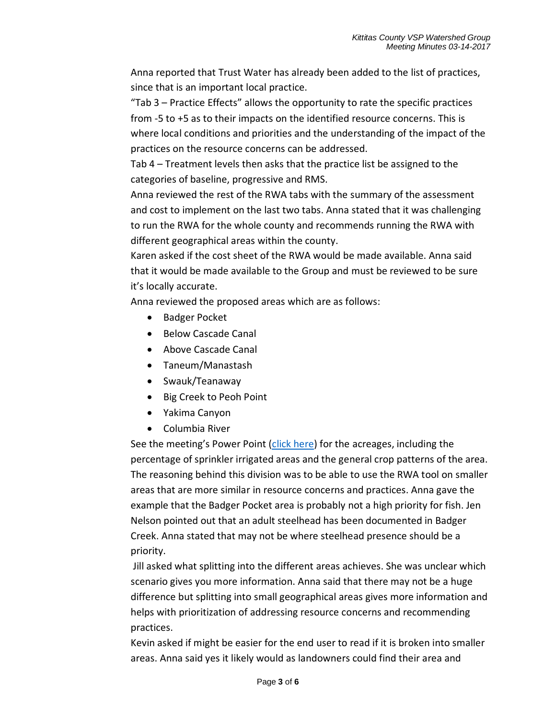Anna reported that Trust Water has already been added to the list of practices, since that is an important local practice.

"Tab 3 – Practice Effects" allows the opportunity to rate the specific practices from -5 to +5 as to their impacts on the identified resource concerns. This is where local conditions and priorities and the understanding of the impact of the practices on the resource concerns can be addressed.

Tab 4 – Treatment levels then asks that the practice list be assigned to the categories of baseline, progressive and RMS.

Anna reviewed the rest of the RWA tabs with the summary of the assessment and cost to implement on the last two tabs. Anna stated that it was challenging to run the RWA for the whole county and recommends running the RWA with different geographical areas within the county.

Karen asked if the cost sheet of the RWA would be made available. Anna said that it would be made available to the Group and must be reviewed to be sure it's locally accurate.

Anna reviewed the proposed areas which are as follows:

- Badger Pocket
- Below Cascade Canal
- Above Cascade Canal
- Taneum/Manastash
- Swauk/Teanaway
- Big Creek to Peoh Point
- Yakima Canyon
- Columbia River

See the meeting's Power Point [\(click here\)](http://www.kccd.net/VoluntaryStewardship/Watershed%20Group%20Mtg%2003-14-2017.pdf) for the acreages, including the percentage of sprinkler irrigated areas and the general crop patterns of the area. The reasoning behind this division was to be able to use the RWA tool on smaller areas that are more similar in resource concerns and practices. Anna gave the example that the Badger Pocket area is probably not a high priority for fish. Jen Nelson pointed out that an adult steelhead has been documented in Badger Creek. Anna stated that may not be where steelhead presence should be a priority.

Jill asked what splitting into the different areas achieves. She was unclear which scenario gives you more information. Anna said that there may not be a huge difference but splitting into small geographical areas gives more information and helps with prioritization of addressing resource concerns and recommending practices.

Kevin asked if might be easier for the end user to read if it is broken into smaller areas. Anna said yes it likely would as landowners could find their area and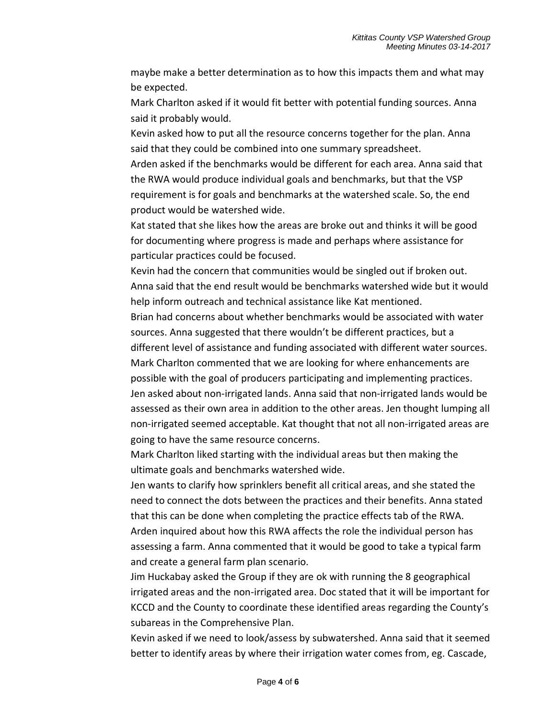maybe make a better determination as to how this impacts them and what may be expected.

Mark Charlton asked if it would fit better with potential funding sources. Anna said it probably would.

Kevin asked how to put all the resource concerns together for the plan. Anna said that they could be combined into one summary spreadsheet.

Arden asked if the benchmarks would be different for each area. Anna said that the RWA would produce individual goals and benchmarks, but that the VSP requirement is for goals and benchmarks at the watershed scale. So, the end product would be watershed wide.

Kat stated that she likes how the areas are broke out and thinks it will be good for documenting where progress is made and perhaps where assistance for particular practices could be focused.

Kevin had the concern that communities would be singled out if broken out. Anna said that the end result would be benchmarks watershed wide but it would help inform outreach and technical assistance like Kat mentioned.

Brian had concerns about whether benchmarks would be associated with water sources. Anna suggested that there wouldn't be different practices, but a different level of assistance and funding associated with different water sources. Mark Charlton commented that we are looking for where enhancements are possible with the goal of producers participating and implementing practices. Jen asked about non-irrigated lands. Anna said that non-irrigated lands would be assessed as their own area in addition to the other areas. Jen thought lumping all non-irrigated seemed acceptable. Kat thought that not all non-irrigated areas are

going to have the same resource concerns.

Mark Charlton liked starting with the individual areas but then making the ultimate goals and benchmarks watershed wide.

Jen wants to clarify how sprinklers benefit all critical areas, and she stated the need to connect the dots between the practices and their benefits. Anna stated that this can be done when completing the practice effects tab of the RWA. Arden inquired about how this RWA affects the role the individual person has assessing a farm. Anna commented that it would be good to take a typical farm and create a general farm plan scenario.

Jim Huckabay asked the Group if they are ok with running the 8 geographical irrigated areas and the non-irrigated area. Doc stated that it will be important for KCCD and the County to coordinate these identified areas regarding the County's subareas in the Comprehensive Plan.

Kevin asked if we need to look/assess by subwatershed. Anna said that it seemed better to identify areas by where their irrigation water comes from, eg. Cascade,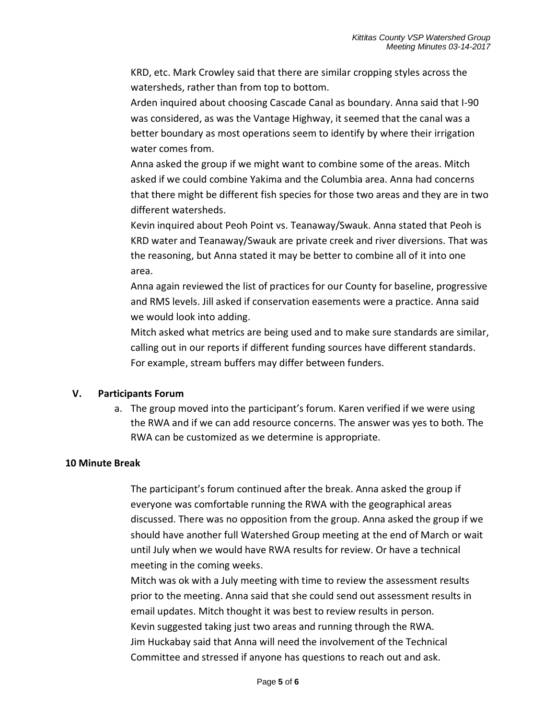KRD, etc. Mark Crowley said that there are similar cropping styles across the watersheds, rather than from top to bottom.

Arden inquired about choosing Cascade Canal as boundary. Anna said that I-90 was considered, as was the Vantage Highway, it seemed that the canal was a better boundary as most operations seem to identify by where their irrigation water comes from.

Anna asked the group if we might want to combine some of the areas. Mitch asked if we could combine Yakima and the Columbia area. Anna had concerns that there might be different fish species for those two areas and they are in two different watersheds.

Kevin inquired about Peoh Point vs. Teanaway/Swauk. Anna stated that Peoh is KRD water and Teanaway/Swauk are private creek and river diversions. That was the reasoning, but Anna stated it may be better to combine all of it into one area.

Anna again reviewed the list of practices for our County for baseline, progressive and RMS levels. Jill asked if conservation easements were a practice. Anna said we would look into adding.

Mitch asked what metrics are being used and to make sure standards are similar, calling out in our reports if different funding sources have different standards. For example, stream buffers may differ between funders.

#### **V. Participants Forum**

a. The group moved into the participant's forum. Karen verified if we were using the RWA and if we can add resource concerns. The answer was yes to both. The RWA can be customized as we determine is appropriate.

#### **10 Minute Break**

The participant's forum continued after the break. Anna asked the group if everyone was comfortable running the RWA with the geographical areas discussed. There was no opposition from the group. Anna asked the group if we should have another full Watershed Group meeting at the end of March or wait until July when we would have RWA results for review. Or have a technical meeting in the coming weeks.

Mitch was ok with a July meeting with time to review the assessment results prior to the meeting. Anna said that she could send out assessment results in email updates. Mitch thought it was best to review results in person. Kevin suggested taking just two areas and running through the RWA. Jim Huckabay said that Anna will need the involvement of the Technical Committee and stressed if anyone has questions to reach out and ask.